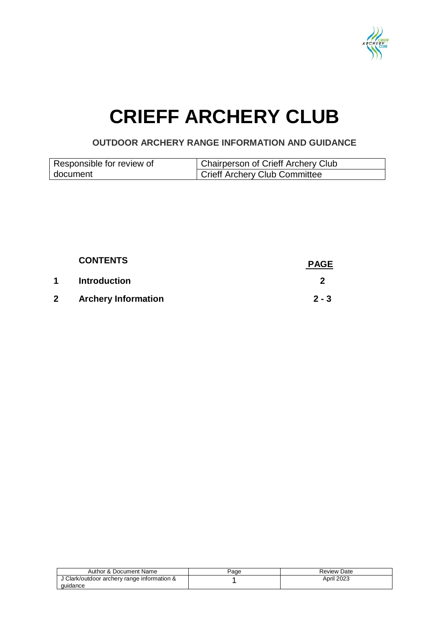

# **CRIEFF ARCHERY CLUB**

**OUTDOOR ARCHERY RANGE INFORMATION AND GUIDANCE**

| Responsible for review of | Chairperson of Crieff Archery Club         |
|---------------------------|--------------------------------------------|
| document                  | <sup>1</sup> Crieff Archery Club Committee |

|              | <b>CONTENTS</b>            | <b>PAGE</b> |
|--------------|----------------------------|-------------|
| 1            | <b>Introduction</b>        |             |
| $\mathbf{2}$ | <b>Archery Information</b> | $2 - 3$     |

| Author & Document Name                                  | Page | Review Date       |
|---------------------------------------------------------|------|-------------------|
| J Clark/outdoor archery range information &<br>quidance |      | <b>April 2023</b> |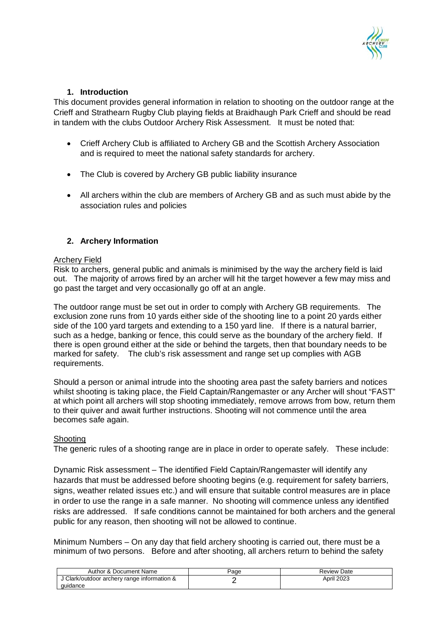

# **1. Introduction**

This document provides general information in relation to shooting on the outdoor range at the Crieff and Strathearn Rugby Club playing fields at Braidhaugh Park Crieff and should be read in tandem with the clubs Outdoor Archery Risk Assessment. It must be noted that:

- Crieff Archery Club is affiliated to Archery GB and the Scottish Archery Association and is required to meet the national safety standards for archery.
- The Club is covered by Archery GB public liability insurance
- All archers within the club are members of Archery GB and as such must abide by the association rules and policies

# **2. Archery Information**

## Archery Field

Risk to archers, general public and animals is minimised by the way the archery field is laid out. The majority of arrows fired by an archer will hit the target however a few may miss and go past the target and very occasionally go off at an angle.

The outdoor range must be set out in order to comply with Archery GB requirements. The exclusion zone runs from 10 yards either side of the shooting line to a point 20 yards either side of the 100 yard targets and extending to a 150 yard line. If there is a natural barrier, such as a hedge, banking or fence, this could serve as the boundary of the archery field. If there is open ground either at the side or behind the targets, then that boundary needs to be marked for safety. The club's risk assessment and range set up complies with AGB requirements.

Should a person or animal intrude into the shooting area past the safety barriers and notices whilst shooting is taking place, the Field Captain/Rangemaster or any Archer will shout "FAST" at which point all archers will stop shooting immediately, remove arrows from bow, return them to their quiver and await further instructions. Shooting will not commence until the area becomes safe again.

### **Shooting**

The generic rules of a shooting range are in place in order to operate safely. These include:

Dynamic Risk assessment – The identified Field Captain/Rangemaster will identify any hazards that must be addressed before shooting begins (e.g. requirement for safety barriers, signs, weather related issues etc.) and will ensure that suitable control measures are in place in order to use the range in a safe manner. No shooting will commence unless any identified risks are addressed. If safe conditions cannot be maintained for both archers and the general public for any reason, then shooting will not be allowed to continue.

Minimum Numbers – On any day that field archery shooting is carried out, there must be a minimum of two persons. Before and after shooting, all archers return to behind the safety

| Author & Document Name                                  | Page | Review Date |
|---------------------------------------------------------|------|-------------|
| J Clark/outdoor archery range information &<br>quidance |      | April 2023  |